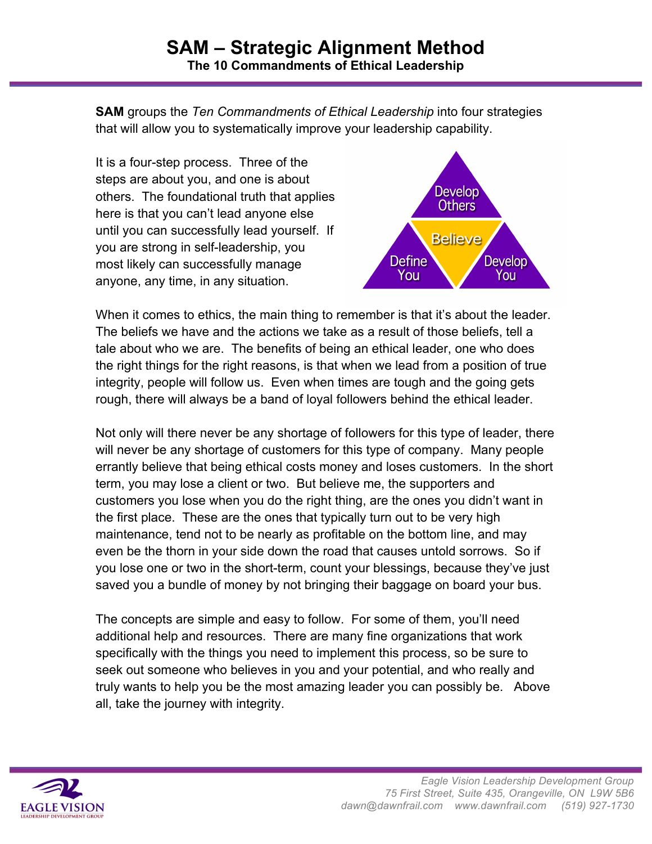**SAM** groups the *Ten Commandments of Ethical Leadership* into four strategies that will allow you to systematically improve your leadership capability.

It is a four-step process. Three of the steps are about you, and one is about others. The foundational truth that applies here is that you can't lead anyone else until you can successfully lead yourself. If you are strong in self-leadership, you most likely can successfully manage anyone, any time, in any situation.



When it comes to ethics, the main thing to remember is that it's about the leader. The beliefs we have and the actions we take as a result of those beliefs, tell a tale about who we are. The benefits of being an ethical leader, one who does the right things for the right reasons, is that when we lead from a position of true integrity, people will follow us. Even when times are tough and the going gets rough, there will always be a band of loyal followers behind the ethical leader.

Not only will there never be any shortage of followers for this type of leader, there will never be any shortage of customers for this type of company. Many people errantly believe that being ethical costs money and loses customers. In the short term, you may lose a client or two. But believe me, the supporters and customers you lose when you do the right thing, are the ones you didn't want in the first place. These are the ones that typically turn out to be very high maintenance, tend not to be nearly as profitable on the bottom line, and may even be the thorn in your side down the road that causes untold sorrows. So if you lose one or two in the short-term, count your blessings, because they've just saved you a bundle of money by not bringing their baggage on board your bus.

The concepts are simple and easy to follow. For some of them, you'll need additional help and resources. There are many fine organizations that work specifically with the things you need to implement this process, so be sure to seek out someone who believes in you and your potential, and who really and truly wants to help you be the most amazing leader you can possibly be. Above all, take the journey with integrity.

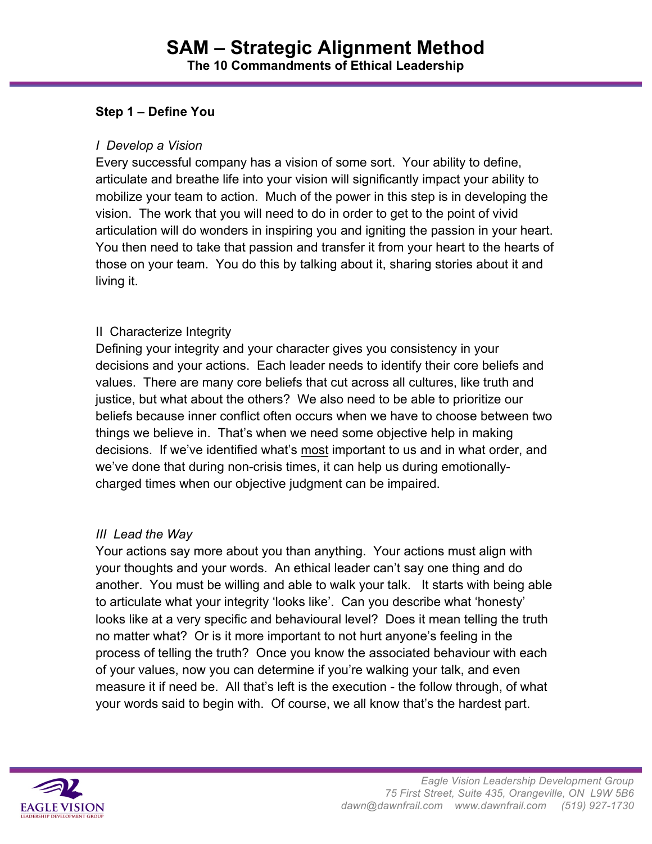### **Step 1 – Define You**

#### *I Develop a Vision*

Every successful company has a vision of some sort. Your ability to define, articulate and breathe life into your vision will significantly impact your ability to mobilize your team to action. Much of the power in this step is in developing the vision. The work that you will need to do in order to get to the point of vivid articulation will do wonders in inspiring you and igniting the passion in your heart. You then need to take that passion and transfer it from your heart to the hearts of those on your team. You do this by talking about it, sharing stories about it and living it.

### II Characterize Integrity

Defining your integrity and your character gives you consistency in your decisions and your actions. Each leader needs to identify their core beliefs and values. There are many core beliefs that cut across all cultures, like truth and justice, but what about the others? We also need to be able to prioritize our beliefs because inner conflict often occurs when we have to choose between two things we believe in. That's when we need some objective help in making decisions. If we've identified what's most important to us and in what order, and we've done that during non-crisis times, it can help us during emotionallycharged times when our objective judgment can be impaired.

### *III Lead the Way*

Your actions say more about you than anything. Your actions must align with your thoughts and your words. An ethical leader can't say one thing and do another. You must be willing and able to walk your talk. It starts with being able to articulate what your integrity 'looks like'. Can you describe what 'honesty' looks like at a very specific and behavioural level? Does it mean telling the truth no matter what? Or is it more important to not hurt anyone's feeling in the process of telling the truth? Once you know the associated behaviour with each of your values, now you can determine if you're walking your talk, and even measure it if need be. All that's left is the execution - the follow through, of what your words said to begin with. Of course, we all know that's the hardest part.

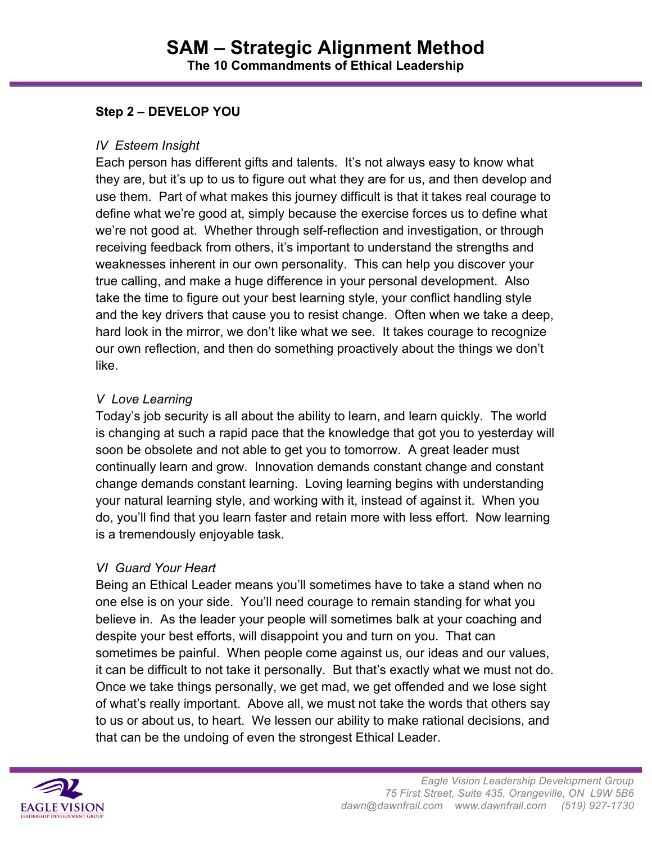# **Step 2 – DEVELOP YOU**

#### *IV Esteem Insight*

Each person has different gifts and talents. It's not always easy to know what they are, but it's up to us to figure out what they are for us, and then develop and use them. Part of what makes this journey difficult is that it takes real courage to define what we're good at, simply because the exercise forces us to define what we're not good at. Whether through self-reflection and investigation, or through receiving feedback from others, it's important to understand the strengths and weaknesses inherent in our own personality. This can help you discover your true calling, and make a huge difference in your personal development. Also take the time to figure out your best learning style, your conflict handling style and the key drivers that cause you to resist change. Often when we take a deep, hard look in the mirror, we don't like what we see. It takes courage to recognize our own reflection, and then do something proactively about the things we don't like.

### *V Love Learning*

Today's job security is all about the ability to learn, and learn quickly. The world is changing at such a rapid pace that the knowledge that got you to yesterday will soon be obsolete and not able to get you to tomorrow. A great leader must continually learn and grow. Innovation demands constant change and constant change demands constant learning. Loving learning begins with understanding your natural learning style, and working with it, instead of against it. When you do, you'll find that you learn faster and retain more with less effort. Now learning is a tremendously enjoyable task.

### *VI Guard Your Heart*

Being an Ethical Leader means you'll sometimes have to take a stand when no one else is on your side. You'll need courage to remain standing for what you believe in. As the leader your people will sometimes balk at your coaching and despite your best efforts, will disappoint you and turn on you. That can sometimes be painful. When people come against us, our ideas and our values, it can be difficult to not take it personally. But that's exactly what we must not do. Once we take things personally, we get mad, we get offended and we lose sight of what's really important. Above all, we must not take the words that others say to us or about us, to heart. We lessen our ability to make rational decisions, and that can be the undoing of even the strongest Ethical Leader.

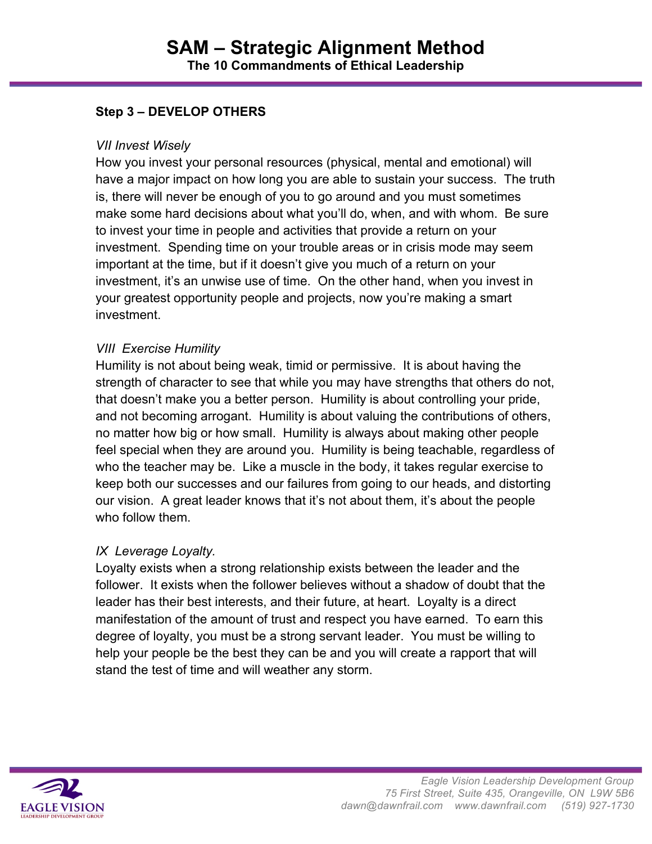## **Step 3 – DEVELOP OTHERS**

#### *VII Invest Wisely*

How you invest your personal resources (physical, mental and emotional) will have a major impact on how long you are able to sustain your success. The truth is, there will never be enough of you to go around and you must sometimes make some hard decisions about what you'll do, when, and with whom. Be sure to invest your time in people and activities that provide a return on your investment. Spending time on your trouble areas or in crisis mode may seem important at the time, but if it doesn't give you much of a return on your investment, it's an unwise use of time. On the other hand, when you invest in your greatest opportunity people and projects, now you're making a smart investment.

### *VIII Exercise Humility*

Humility is not about being weak, timid or permissive. It is about having the strength of character to see that while you may have strengths that others do not, that doesn't make you a better person. Humility is about controlling your pride, and not becoming arrogant. Humility is about valuing the contributions of others, no matter how big or how small. Humility is always about making other people feel special when they are around you. Humility is being teachable, regardless of who the teacher may be. Like a muscle in the body, it takes regular exercise to keep both our successes and our failures from going to our heads, and distorting our vision. A great leader knows that it's not about them, it's about the people who follow them.

### *IX Leverage Loyalty.*

Loyalty exists when a strong relationship exists between the leader and the follower. It exists when the follower believes without a shadow of doubt that the leader has their best interests, and their future, at heart. Loyalty is a direct manifestation of the amount of trust and respect you have earned. To earn this degree of loyalty, you must be a strong servant leader. You must be willing to help your people be the best they can be and you will create a rapport that will stand the test of time and will weather any storm.